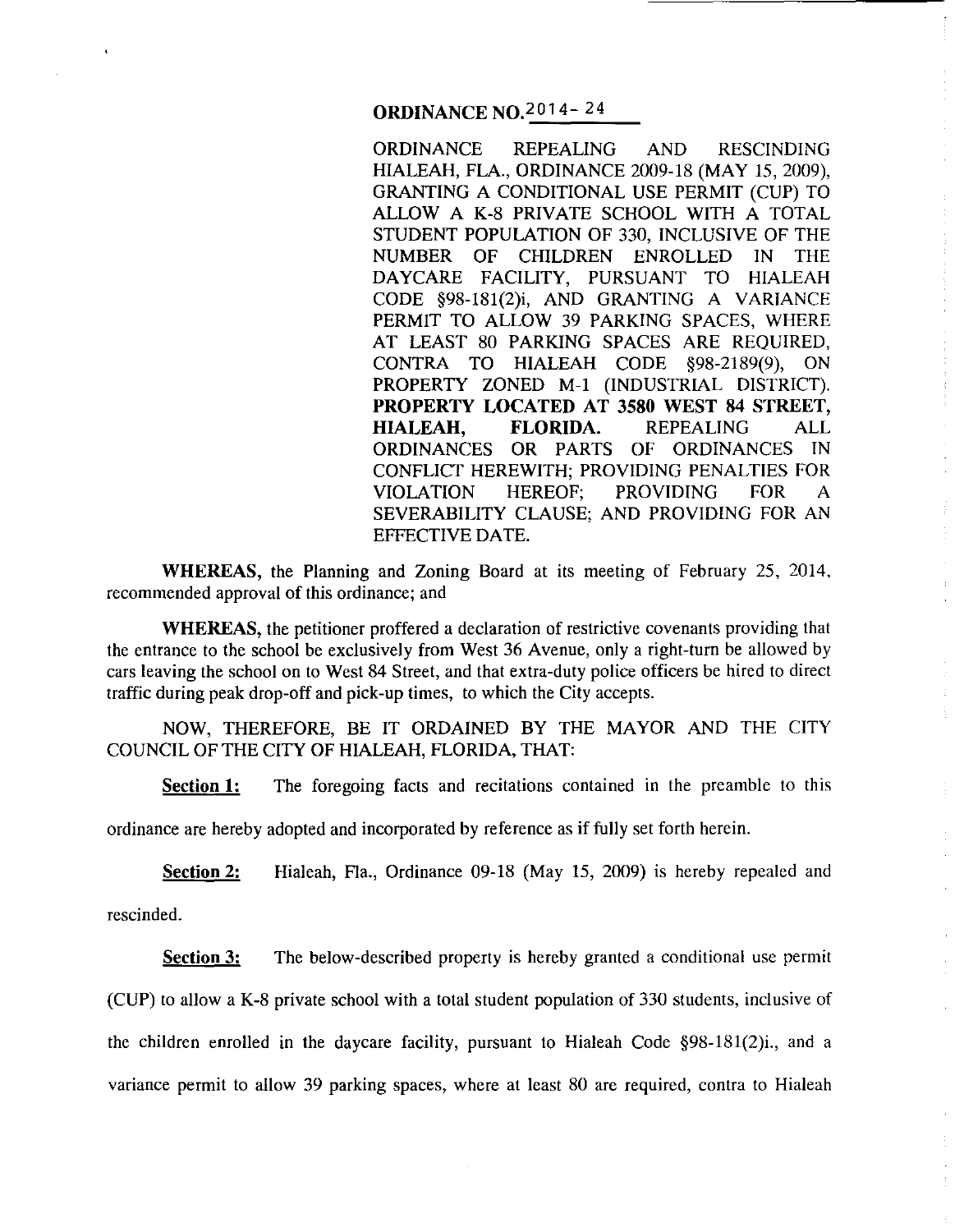# **ORDINANCE NO. 2014 - 24**

ORDINANCE REPEALING AND RESCINDING HIALEAH, FLA., ORDINANCE 2009-18 (MAY 15, 2009), GRANTING A CONDITIONAL USE PERMIT (CUP) TO ALLOW A K-8 PRIVATE SCHOOL WITH A TOTAL STUDENT POPULATION OF 330, INCLUSIVE OF THE NUMBER OF CHILDREN ENROLLED IN THE DAYCARE FACILITY, PURSUANT TO HIALEAH CODE §98-181(2)i, AND GRANTING A VARIANCE PERMIT TO ALLOW 39 PARKING SPACES, WHERE AT LEAST 80 PARKING SPACES ARE REQUIRED, CONTRA TO HIALEAH CODE §98-2189(9), ON PROPERTY ZONED M-1 (INDUSTRIAL DISTRICT). PROPERTY LOCATED AT 3580 WEST 84 STREET, HIALEAH, FLORIDA. REPEALING ALL ORDINANCES OR PARTS OF ORDINANCES IN CONFLICT HEREWITH; PROVIDING PENALTIES FOR VIOLATION HEREOF; PROVIDING FOR A SEVERABILITY CLAUSE; AND PROVIDING FOR AN EFFECTIVE DATE.

 $\frac{9}{3}$ 

 $\hat{\boldsymbol{\beta}}$  $\bar{\epsilon}$ 

ŧ.

医异体 医异体

 $\begin{array}{cc} \frac{1}{2} & \frac{1}{2} \\ \frac{1}{2} & \frac{1}{2} \end{array}$  $\bar{z}$  $\hat{\mathcal{A}}$  $\bar{z}$ 

 $\frac{1}{2}$ 

 $\tilde{z}$  $\frac{1}{2}$ 

 $\mathcal{O}^{\pm}$ 

WHEREAS, the Planning and Zoning Board at its meeting of February 25, 2014, recommended approval of this ordinance; and

WHEREAS, the petitioner proffered a declaration of restrictive covenants providing that the entrance to the school be exclusively from West 36 Avenue, only a right-turn be allowed by cars leaving the school on to West 84 Street, and that extra-duty police officers be hired to direct traffic during peak drop-off and pick-up times, to which the City accepts.

NOW, THEREFORE, BE IT ORDAINED BY THE MAYOR AND THE CITY COUNCIL OF THE CITY OF HIALEAH, FLORIDA, THAT:

**Section 1:** The foregoing facts and recitations contained in the preamble to this

ordinance are hereby adopted and incorporated by reference as if fully set forth herein.

Section 2: Hialeah, Fla., Ordinance 09-18 (May 15, 2009) is hereby repealed and

rescinded.

Section 3: The below-described property is hereby granted a conditional use permit

(CUP) to allow a K-8 private school with a total student population of 330 students, inclusive of

the children enrolled in the daycare facility, pursuant to Hialeah Code §98-181(2)i., and a

variance permit to allow 39 parking spaces, where at least 80 are required, contra to Hialeah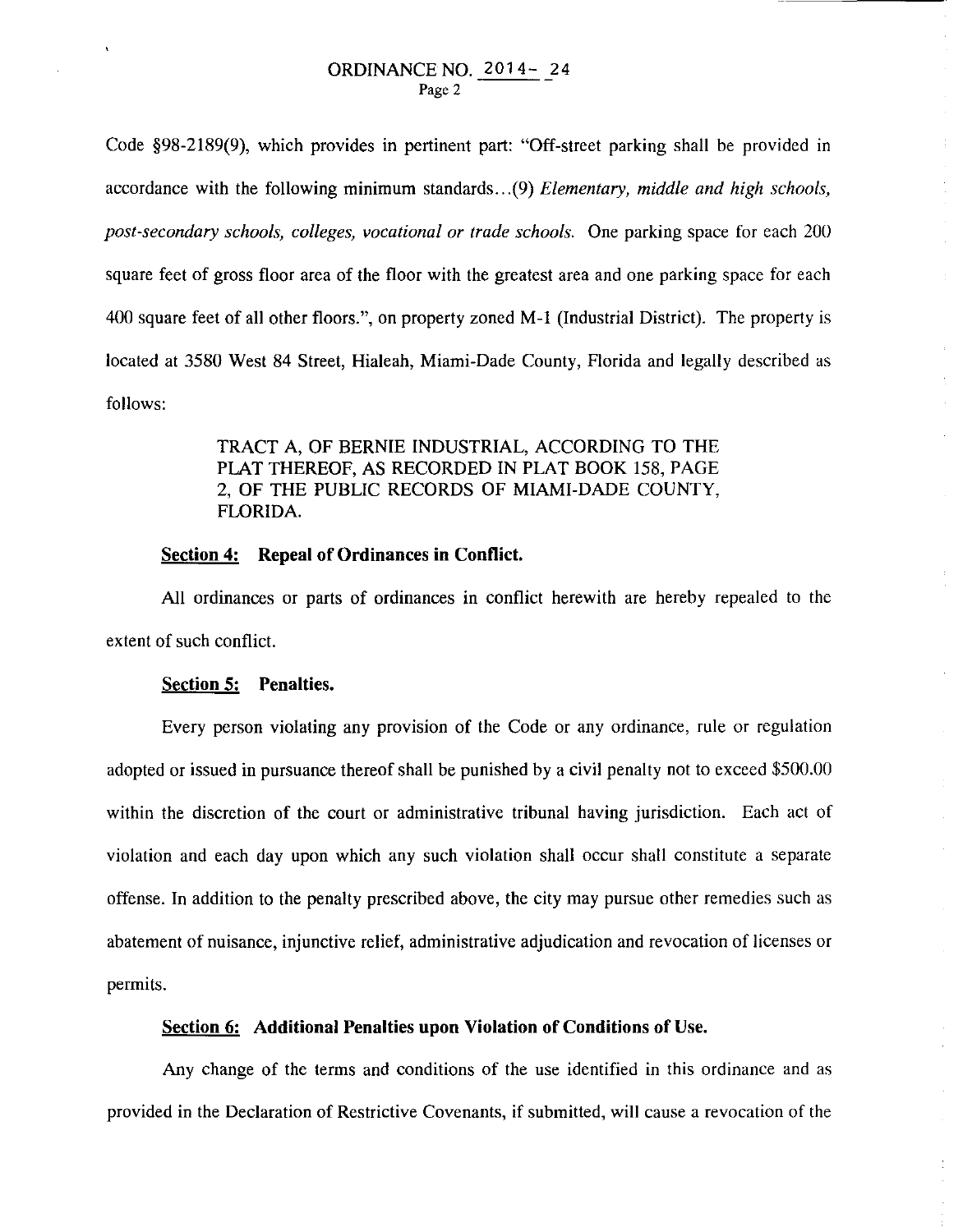Code §98-2189(9), which provides in pertinent part: "Off-street parking shall be provided in accordance with the following minimum standards ... (9) *Elementary, middle and high schools, post-secondary schools, colleges, vocational or trade schools.* One parking space for each 200 square feet of gross floor area of the floor with the greatest area and one parking space for each 400 square feet of all other floors.", on property zoned M-1 (Industrial District). The property is located at 3580 West 84 Street, Hialeah, Miami-Dade County, Florida and legally described as follows:

 $\frac{1}{4}$  $\bar{\bar{z}}$ 

 $\bar{z}$ 

 $\bar{z}$ 

# TRACT A, OF BERNIE INDUSTRIAL, ACCORDING TO THE PLAT THEREOF, AS RECORDED IN PLAT BOOK 158, PAGE 2, OF THE PUBLIC RECORDS OF MIAMI-DADE COUNTY, FLORIDA.

## **Section 4: Repeal of Ordinances in Conflict.**

All ordinances or parts of ordinances in conflict herewith are hereby repealed to the extent of such conflict.

## **Section 5: Penalties.**

Every person violating any provision of the Code or any ordinance, rule or regulation adopted or issued in pursuance thereof shall be punished by a civil penalty not to exceed \$500.00 within the discretion of the court or administrative tribunal having jurisdiction. Each act of violation and each day upon which any such violation shall occur shall constitute a separate offense. In addition to the penalty prescribed above, the city may pursue other remedies such as abatement of nuisance, injunctive relief, administrative adjudication and revocation of licenses or permits.

### **Section 6: Additional Penalties upon Violation of Conditions of** Use.

Any change of the terms and conditions of the use identified in this ordinance and as provided in the Declaration of Restrictive Covenants, if submitted, will cause a revocation of the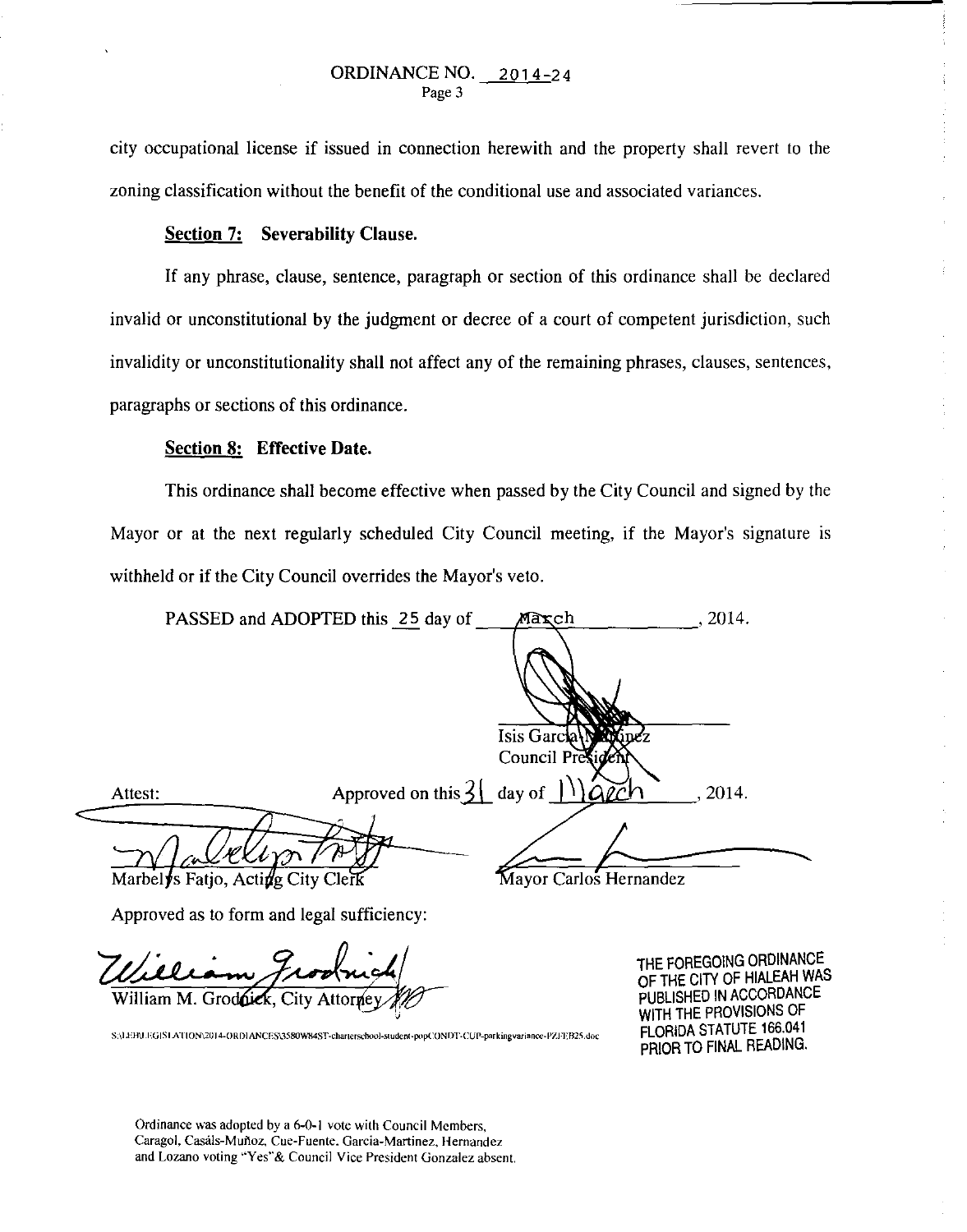city occupational license if issued in connection herewith and the property shall revert to the zoning classification without the benefit of the conditional use and associated variances.

## **Section 7: Severability Clause.**

If any phrase, clause, sentence, paragraph or section of this ordinance shall be declared invalid or unconstitutional by the judgment or decree of a court of competent jurisdiction, such invalidity or unconstitutionality shall not affect any of the remaining phrases, clauses, sentences, paragraphs or sections of this ordinance.

## **Section 8: Effective Date.**

This ordinance shall become effective when passed by the City Council and signed by the Mayor or at the next regularly scheduled City Council meeting, if the Mayor's signature is withheld or if the City Council overrides the Mayor's veto.

|                                    | PASSED and ADOPTED this 25 day of                       | March                  | 2014. |
|------------------------------------|---------------------------------------------------------|------------------------|-------|
|                                    |                                                         |                        |       |
|                                    |                                                         |                        |       |
|                                    |                                                         | Isis Garcia\Naxinez    |       |
|                                    |                                                         | Council President      |       |
| Attest:                            | Approved on this $3$ day of $\bigcup$ $\alpha$ $\alpha$ |                        | 2014. |
|                                    |                                                         |                        |       |
| Marbely's Fatjo, Acting City Clerk |                                                         | Mayor Carlos Hernandez |       |

Approved as to form and legal sufficiency:

William M. Grodoick, City Attorney

**S:\l.Ul\I.EGISIATION\2UJ4-0RDIANCES\.1580WK4ST-chartcrscllool-studcnt-pnp(:ONDT-CUr-parkingvariancc-I'ZH:B2S.doc** 

THE FOREGOING ORDINANCE OF THE CITY OF HIALEAH WAS PUBLISHED IN ACCORDANCE WITH THE PROVISIONS OF FLORIDA STATUTE 166.041 PRIOR TO FINAL READING.

ł.

**Ordinance was adopted by a 6-0-1 vote with Council Members, Caragol, Casitls-Mufioz, Cue-Fuente. Garcia-Martinez, Hernandez and Lozano voting "Yes"& Council Vice President Gonzalez absent.**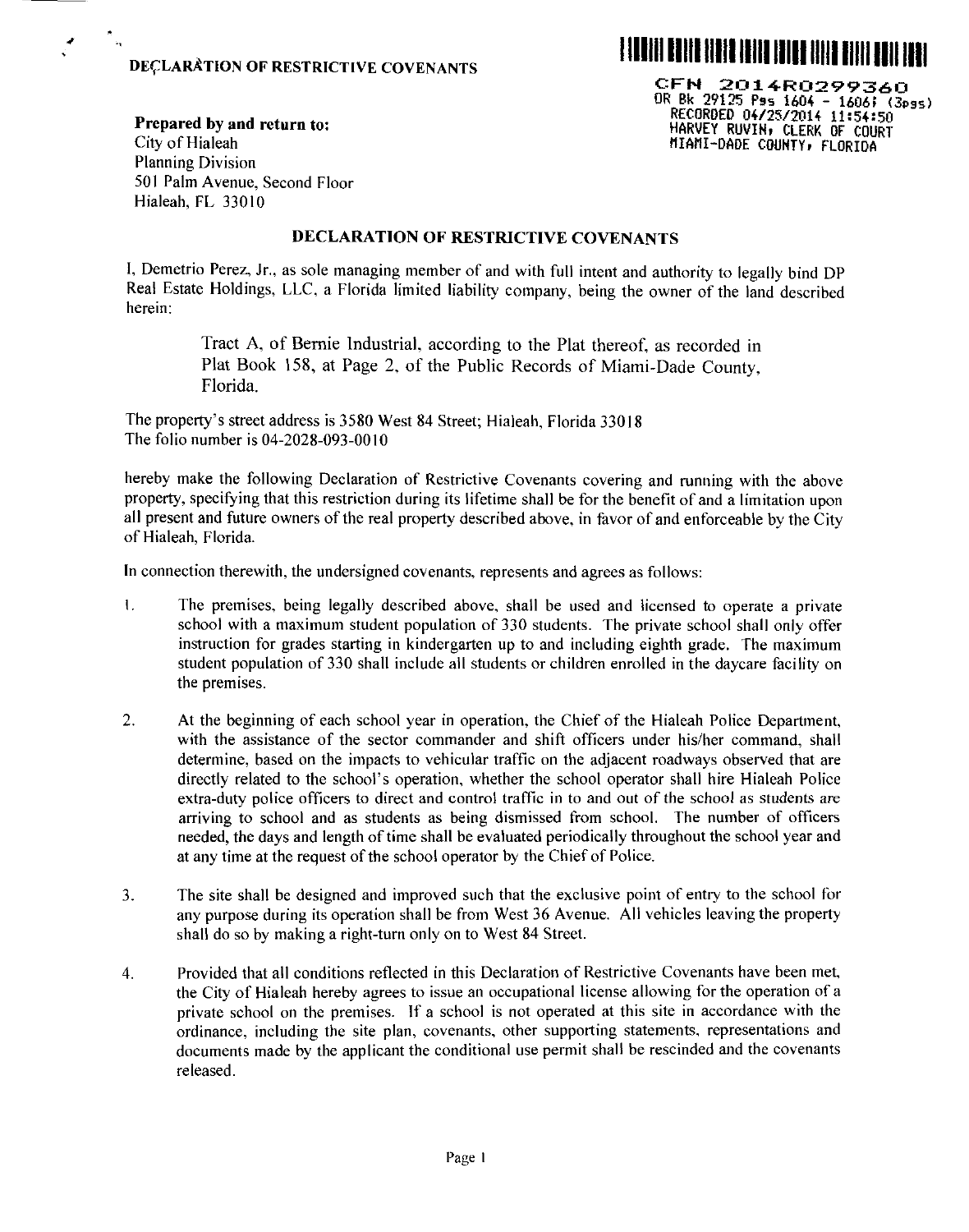

CFN 2014R0299360 OR Bk 29125 Pss 1604 - 1606; (3pss)<br>RECORDED 04/25/2014 11:54:50 HARVEY RUVIHr CLERK OF COURT MIAMI-DADE COUHTYr FLORIDA

Prepared by and return to: City of Hialeah Planning Division 501 Palm Avenue, Second Floor Hialeah, FL 33010

## DECLARATION OF RESTRICTIVE COVENANTS

I, Demetrio Perez, Jr., as sole managing member of and with full intent and authority to legally bind DP Real Estate Holdings, LLC, a Florida limited liability company, being the owner of the land described herein:

Tract A, of Bernie Industrial. according to the Plat thereof, as recorded in Plat Book \58, at Page 2, of the Public Records of Miami-Dade County, Florida.

The property's street address is 3580 West 84 Street; Hialeah, Florida 33018 The folio number is 04-2028-093-0010

hereby make the following Declaration of Restrictive Covenants covering and running with the above property, specifying that this restriction during its lifetime shall be for the benefit of and a limitation upon all present and future owners of the real property described above, in favor of and enforceable by the City of Hialeah, Florida.

In connection therewith, the undersigned covenants, represents and agrees as follows:

- I. The premises, being legally described above, shall be used and licensed to operate a private school with a maximum student population of 330 students. The private school shall only offer instruction for grades starting in kindergarten up to and including eighth grade. The maximum student population of 330 shall include all students or children enrolled in the daycare facility on the premises.
- 2. At the beginning of each school year in operation, the Chief of the Hialeah Police Department, with the assistance of the sector commander and shift officers under his/her command, shall determine, based on the impacts to vehicular traffic on the adjacent roadways observed that are directly related to the school's operation, whether the school operator shall hire Hialeah Police extra-duty police officers to direct and control traffic in to and out of the school as students are arriving to school and as students as being dismissed from school. The number of officers needed, the days and length of time shall be evaluated periodically throughout the school year and at any time at the request of the school operator by the Chief of Police.
- 3. The site shall be designed and improved such that the exclusive point of entry to the school tor any purpose during its operation shall be from West 36 Avenue. All vehicles leaving the property shall do so by making a right-turn only on to West 84 Street.
- 4. Provided that all conditions reflected in this Declaration of Restrictive Covenants have been met, the City of Hialeah hereby agrees to issue an occupational license allowing for the operation of a private school on the premises. If a school is not operated at this site in accordance with the ordinance, including the site plan, covenants, other supporting statements, representations and documents made by the applicant the conditional use permit shall be rescinded and the covenants released.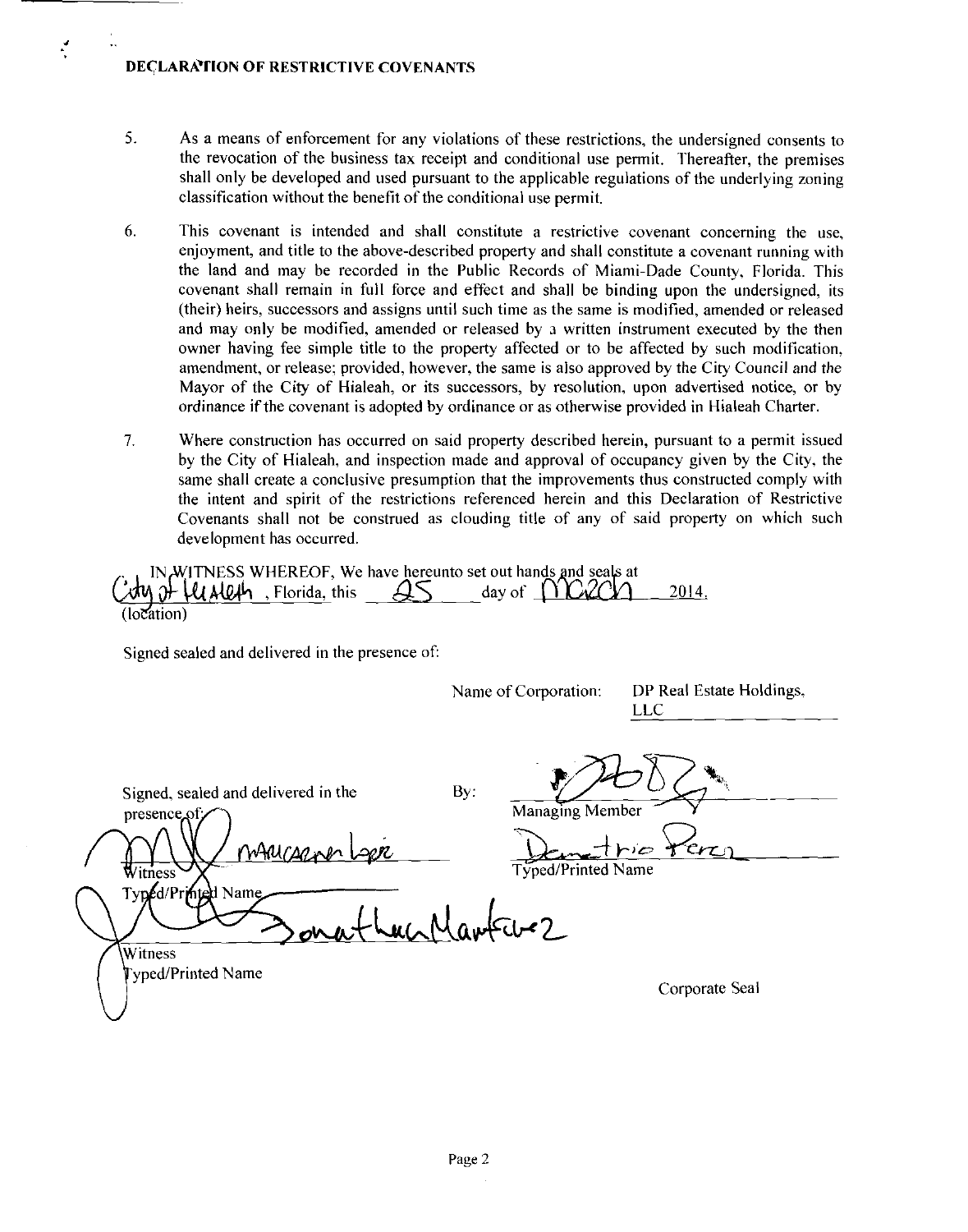## **DECLARATION OF RESTRICTIVE COVENANTS**

 $\mathbf{r}$ 

- 5. As a means of enforcement for any violations of these restrictions, the undersigned consents to the revocation of the business tax receipt and conditional use permit. Thereafter, the premises shall only be developed and used pursuant to the applicable regulations of the underlying zoning classification without the benefit of the conditional use permit.
- 6. This covenant is intended and shall constitute a restrictive covenant concerning the use, enjoyment, and title to the above-described property and shall constitute a covenant running with the land and may be recorded in the Public Records of Miami-Dade County, Florida. This covenant shall remain in full force and effect and shall be binding upon the undersigned, its (their) heirs, successors and assigns until such time as the same is modified, amended or released and may only be modified, amended or released by 3 written instrument executed by the then owner having fee simple title to the property affected or to be affected by such modification, amendment, or release; provided, however, the same is also approved by the City Council and the Mayor of the City of Hialeah, or its successors, by resolution, upon advertised notice, or by ordinance if the covenant is adopted by ordinance or as otherwise provided in Hialeah Charter.
- 7. Where construction has occurred on said property described herein, pursuant to a permit issued by the City of Hialeah, and inspection made and approval of occupancy given by the City, the same shall create a conclusive presumption that the improvements thus constructed comply with the intent and spirit of the restrictions referenced herein and this Declaration of Restrictive Covenants shall not be construed as clouding title of any of said property on which such development has occurred.

IN WITNESS WHEREOF, We have hereunto set out hands and seals at  $\frac{1}{10}$ . Florida, this  $\frac{1}{10}$  day of  $\frac{1}{10}$ .  $\frac{1}{10}$  $~$ **U, Aleth**, Florida, this  $~\overline{\mathcal{A}}$   $\leq$  day of  $\frac{N}{2C}\overline{\mathcal{C}}$  = 2014. (location)

Signed sealed and delivered in the presence of:

Name of Corporation: DP Real Estate Holdings. LLC By: Signed, sealed and delivered in the Managing Member presence of Kunstrio Tern MM/sane Typed/Printed Name itness Typed/Printed Nam  $\gamma$  once and  $\gamma$  and  $\gamma$ Witness yped/Printed Name Corporate Seal